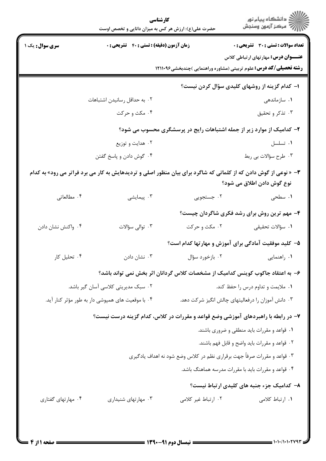|                                                                                                                                                | كارشناسي<br>حضرت علی(ع): ارزش هر کس به میزان دانایی و تخصص اوست                   |                                                                                | ≦ دانشڪاه پيام نور<br>7 مرڪز آزمون وسنڊش            |  |
|------------------------------------------------------------------------------------------------------------------------------------------------|-----------------------------------------------------------------------------------|--------------------------------------------------------------------------------|-----------------------------------------------------|--|
| <b>سری سوال:</b> یک ۱                                                                                                                          | <b>زمان آزمون (دقیقه) : تستی : 40 ٪ تشریحی : 0</b>                                |                                                                                | <b>تعداد سوالات : تستی : 30 ٪ تشریحی : 0</b>        |  |
|                                                                                                                                                |                                                                                   |                                                                                | <b>عنــــوان درس:</b> مهار تهای ار تباطی کلاس       |  |
|                                                                                                                                                |                                                                                   | <b>رشته تحصیلی/کد درس:</b> علوم تربیتی (مشاوره وراهنمایی )چندبخشی1۲۱۱۰۹۶       |                                                     |  |
|                                                                                                                                                |                                                                                   |                                                                                | ۱– کدام گزینه از روشهای کلیدی سؤال کردن نیست؟       |  |
|                                                                                                                                                | ٠٢ به حداقل رسانيدن اشتباهات                                                      |                                                                                | ۰۱ سازماندهی                                        |  |
|                                                                                                                                                | ۰۴ مکث و حرکت                                                                     |                                                                                | ۰۳ تذکر و تحقیق                                     |  |
| ۲- کدامیک از موارد زیر از جمله اشتباهات رایج در پرسشگری محسوب می شود؟                                                                          |                                                                                   |                                                                                |                                                     |  |
|                                                                                                                                                | ۰۲ هدایت و توزیع                                                                  |                                                                                | ٠١ تسلسل                                            |  |
|                                                                                                                                                | ۰۴ گوش دادن و پاسخ گفتن                                                           |                                                                                | ۰۳ طرح سؤالات بي ربط                                |  |
| ۳- « نوعی از گوش دادن که از کلماتی که شاگرد برای بیان منظور اصلی و تردیدهایش به کار می برد فراتر می رود» به کدام<br>نوع گوش دادن اطلاق می شود؟ |                                                                                   |                                                                                |                                                     |  |
| ۰۴ مطالعاتی                                                                                                                                    | ۰۳ پیمایشی                                                                        | ۰۲ جستجویی                                                                     | ۰۱ سطحی                                             |  |
|                                                                                                                                                |                                                                                   |                                                                                | ۴- مهم ترین روش برای رشد فکری شاگردان چیست؟         |  |
| ۰۴ واکنش نشان دادن                                                                                                                             | ۰۳ توالی سؤالات                                                                   | ۰۲ مکث و حرکت                                                                  | ۰۱ سؤالات تحقیقی                                    |  |
|                                                                                                                                                |                                                                                   | ۵– کلید موفقیت آمادگی برای آموزش و مهارتها کدام است؟                           |                                                     |  |
| ۰۴ تحلیل کار                                                                                                                                   | ۰۳ نشان دادن                                                                      | ۰۱ راهنمایی مستان است. ۲۰ بازخورد سؤال                                         |                                                     |  |
|                                                                                                                                                |                                                                                   | ۶– به اعتقاد جاکوب کوینس کدامیک از مشخصات کلاس گردانان اثر بخش نمی تواند باشد؟ |                                                     |  |
| ۰۲ سبک مدیریتی کلاسی آسان گیر باشد.                                                                                                            |                                                                                   | ۰۱ ملایمت و تداوم درس را حفظ کند.                                              |                                                     |  |
|                                                                                                                                                | ۰۴ با موقعیت های همپوشی دار به طور مؤثر کنار آید.                                 |                                                                                | ۰۳ دانش آموزان را درفعالیتهای چالش انگیز شرکت دهد.  |  |
|                                                                                                                                                | ۷- در رابطه با راهبردهای آموزشی وضع قواعد و مقررات در کلاس، کدام گزینه درست نیست؟ |                                                                                |                                                     |  |
|                                                                                                                                                |                                                                                   |                                                                                | ۰۱ قواعد و مقررات باید منطقی و ضروری باشند.         |  |
|                                                                                                                                                |                                                                                   |                                                                                | ٢. قواعد و مقررات بايد واضح و قابل فهم باشند.       |  |
| ۰۳ قواعد و مقررات صرفاً جهت برقراری نظم در کلاس وضع شود نه اهداف یادگیری                                                                       |                                                                                   |                                                                                |                                                     |  |
|                                                                                                                                                |                                                                                   |                                                                                | ۰۴ قواعد و مقررات باید با مقررات مدرسه هماهنگ باشد. |  |
|                                                                                                                                                |                                                                                   |                                                                                | ۸- کدامیک جزء جنبه های کلیدی ارتباط نیست؟           |  |
| ۰۴ مهارتهای گفتاری                                                                                                                             | ۰۳ مهارتهای شنیداری                                                               | ۰۲ ارتباط غیر کلامی                                                            | ١. ارتباط كلامي                                     |  |
|                                                                                                                                                |                                                                                   |                                                                                |                                                     |  |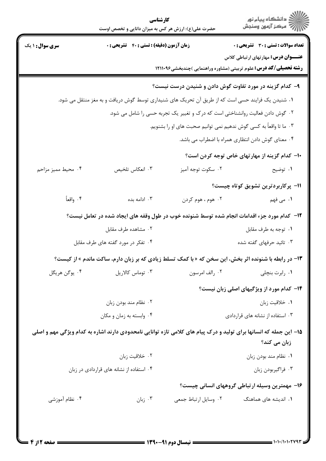|                                                                                                                                    | كارشناسي<br>حضرت علی(ع): ارزش هر کس به میزان دانایی و تخصص اوست |                                                                                                      | ≦ دانشڪاه پيام نور<br>7 مرڪز آزمون وسنڊش          |  |  |
|------------------------------------------------------------------------------------------------------------------------------------|-----------------------------------------------------------------|------------------------------------------------------------------------------------------------------|---------------------------------------------------|--|--|
| <b>سری سوال : ۱ یک</b>                                                                                                             | زمان آزمون (دقیقه) : تستی : ۴۰٪ تشریحی : ۰                      |                                                                                                      | <b>تعداد سوالات : تستی : 30 ٪ تشریحی : 0</b>      |  |  |
|                                                                                                                                    |                                                                 | <b>رشته تحصیلی/کد درس:</b> علوم تربیتی (مشاوره وراهنمایی )چندبخشی1۲۱۱۰۹۶                             | <b>عنــــوان درس:</b> مهار تهای ار تباطی کلاس     |  |  |
|                                                                                                                                    |                                                                 | ۹– کدام گزینه در مورد تفاوت گوش دادن و شنیدن درست نیست؟                                              |                                                   |  |  |
|                                                                                                                                    |                                                                 | ۰۱ شنیدن یک فرایند حسی است که از طریق آن تحریک های شنیداری توسط گوش دریافت و به مغز منتقل می شود.    |                                                   |  |  |
| ۰۲ گوش دادن فعالیت روانشناختی است که درک و تغییر یک تجربه حسی را شامل می شود.                                                      |                                                                 |                                                                                                      |                                                   |  |  |
| ۰۳ ما تا واقعاً به کسی گوش ندهیم نمی توانیم صحبت های او را بشنویم.                                                                 |                                                                 |                                                                                                      |                                                   |  |  |
|                                                                                                                                    | ۰۴ معنای گوش دادن انتظاری همراه با اضطراب می باشد.              |                                                                                                      |                                                   |  |  |
|                                                                                                                                    |                                                                 |                                                                                                      | ۱۰– کدام گزینه از مهارتهای خاص توجه کردن است؟     |  |  |
| ۰۴ محیط ممیز مزاحم                                                                                                                 | ۰۳ انعکاس تلخیص                                                 | ۰۲ سکوت توجه آمیز                                                                                    | ۰۱ توضیح                                          |  |  |
|                                                                                                                                    |                                                                 |                                                                                                      | 11- پرکاربردترین تشویق کوتاه چیست؟                |  |  |
| ۰۴ واقعاً                                                                                                                          | ۰۳ ادامه بده                                                    | ۰۲ هوم ، هوم کردن                                                                                    | ١. می فهم                                         |  |  |
|                                                                                                                                    |                                                                 | ۱۲– کدام مورد جزء اقدامات انجام شده توسط شنونده خوب در طول وقفه های ایجاد شده در تعامل نیست؟         |                                                   |  |  |
|                                                                                                                                    | ۰۲ مشاهده طرف مقابل                                             |                                                                                                      | ٠١ توجه به طرف مقابل                              |  |  |
| ۰۴ تفکر در مورد گفته های طرف مقابل                                                                                                 |                                                                 |                                                                                                      | ۰۳ تائید حرفهای گفته شده                          |  |  |
|                                                                                                                                    |                                                                 | ۱۳- در رابطه با شنونده اثر بخش، این سخن که «با کمک تسلط زیادی که بر زبان دارم، ساکت ماندم » از کیست؟ |                                                   |  |  |
| ۰۴ يوگن هريگل                                                                                                                      | ۰۳ توماس کالاریل                                                | ۰۲ رالف امرسون                                                                                       | ۰۱ رابرت بنچلی                                    |  |  |
|                                                                                                                                    |                                                                 |                                                                                                      | <b>۱۴</b> - کدام مورد از ویژگیهای اصلی زبان نیست؟ |  |  |
|                                                                                                                                    | ۰۲ نظام مند بودن زبان                                           |                                                                                                      | ٠١ خلاقيت زبان                                    |  |  |
|                                                                                                                                    | ۰۴ وابسته به زمان و مکان                                        |                                                                                                      | ۰۳ استفاده از نشانه های قراردادی                  |  |  |
| ۱۵– این جمله که انسانها برای تولید و درک پیام های کلامی تازه توانایی نامحدودی دارند اشاره به کدام ویژگی مهم و اصلی<br>زبان می کند؟ |                                                                 |                                                                                                      |                                                   |  |  |
|                                                                                                                                    | ٠٢ خلاقيت زبان                                                  |                                                                                                      | ٠١. نظام مند بودن زبان                            |  |  |
| ۰۴ استفاده از نشانه های قراردادی در زبان                                                                                           |                                                                 |                                                                                                      | ۰۳ فراگیربودن زبان                                |  |  |
|                                                                                                                                    |                                                                 |                                                                                                      | ۱۶- مهمترین وسیله ارتباطی گروههای انسانی چیست؟    |  |  |
| ۰۴ نظام آموزشی                                                                                                                     | ا زبان $\cdot$                                                  | ٠٢ وسايل ارتباط جمعي                                                                                 | ۰۱ اندیشه های هماهنگ                              |  |  |
|                                                                                                                                    |                                                                 |                                                                                                      |                                                   |  |  |
|                                                                                                                                    |                                                                 |                                                                                                      |                                                   |  |  |
|                                                                                                                                    |                                                                 |                                                                                                      |                                                   |  |  |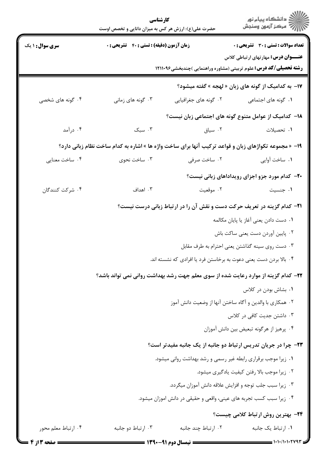|                                                 | كارشناسي<br>حضرت علی(ع): ارزش هر کس به میزان دانایی و تخصص اوست                                                                 |                                                                   | ِ دانشڪاه پيا <sub>م</sub> نور<br>/∕ مرڪز آزمون وسنڊش                                                                     |  |  |
|-------------------------------------------------|---------------------------------------------------------------------------------------------------------------------------------|-------------------------------------------------------------------|---------------------------------------------------------------------------------------------------------------------------|--|--|
| <b>سری سوال : ۱ یک</b>                          | زمان آزمون (دقیقه) : تستی : ۴۰٪ تشریحی : ۰                                                                                      |                                                                   | <b>تعداد سوالات : تستی : 30 ٪ تشریحی : 0</b>                                                                              |  |  |
|                                                 |                                                                                                                                 |                                                                   | <b>عنــــوان درس:</b> مهار تهای ار تباطی کلاس<br><b>رشته تحصیلی/کد درس:</b> علوم تربیتی (مشاوره وراهنمایی )چندبخشی1۲۱۱۰۹۶ |  |  |
|                                                 |                                                                                                                                 |                                                                   | ۱۷– به کدامیک از گونه های زبان « لهجه » گفته میشود؟                                                                       |  |  |
| ۰۴ گونه های شخصی                                | ۰۳ گونه های زمانی                                                                                                               | ۰۲ گونه های جغرافیایی                                             | <b>۱.</b> گونه های اجتماعی                                                                                                |  |  |
|                                                 |                                                                                                                                 |                                                                   | ۱۸− کدامیک از عوامل متنوع گونه های اجتماعی زبان نیست؟                                                                     |  |  |
| ۰۴ درآمد                                        | $\mathcal{F}$ . سبک                                                                                                             | ۰۲ سیاق                                                           | ۰۱ تحصیلات                                                                                                                |  |  |
|                                                 | ۱۹- « مجموعه تکواژهای زبان و قواعد ترکیب آنها برای ساخت واژه ها » اشاره به کدام ساخت نظام زبانی دارد؟                           |                                                                   |                                                                                                                           |  |  |
| ۰۴ ساخت معنایی                                  | ۰۳ ساخت نحوی                                                                                                                    | ۰۲ ساخت صرفی                                                      | ٠١. ساخت آوايي                                                                                                            |  |  |
|                                                 |                                                                                                                                 |                                                                   | <b>۲۰</b> کدام مورد جزو اجزای رویداداهای زبانی نیست؟                                                                      |  |  |
| ۰۴ شرکت کنندگان                                 | ۰۳ اهداف                                                                                                                        | ۰۲ موقعیت                                                         | ۰ <b>۱ جنسیت</b> است.                                                                                                     |  |  |
|                                                 | <b>۲۱</b> - کدام گزینه در تعریف حرکت دست و نقش آن را در ارتباط زبانی درست نیست؟                                                 |                                                                   |                                                                                                                           |  |  |
|                                                 |                                                                                                                                 |                                                                   | ٠١ دست دادن يعني آغاز يا پايان مكالمه                                                                                     |  |  |
|                                                 | ۰۲ پایین آوردن دست یعنی ساکت باش                                                                                                |                                                                   |                                                                                                                           |  |  |
| ۰۳ دست روی سینه گذاشتن یعنی احترام به طرف مقابل |                                                                                                                                 |                                                                   |                                                                                                                           |  |  |
|                                                 |                                                                                                                                 | ۰۴ بالا بردن دست یعنی دعوت به برخاستن فرد یا افرادی که نشسته اند. |                                                                                                                           |  |  |
|                                                 | ۲۲– کدام گزینه از موارد رعایت شده از سوی معلم جهت رشد بهداشت روانی نمی تواند باشد؟                                              |                                                                   |                                                                                                                           |  |  |
|                                                 | ۰۱ بشاش بودن در کلاس                                                                                                            |                                                                   |                                                                                                                           |  |  |
|                                                 | ۰۲ همکاری با والدین و آگاه ساختن آنها از وضعیت دانش آموز                                                                        |                                                                   |                                                                                                                           |  |  |
|                                                 | ۰۳ داشتن جدیت کافی در کلاس<br>۰۴ پرهيز از هرگونه تبعيض بين دانش آموزان                                                          |                                                                   |                                                                                                                           |  |  |
|                                                 |                                                                                                                                 |                                                                   |                                                                                                                           |  |  |
|                                                 | ۲۳- چرا در جریان تدریس ارتباط دو جانبه از یک جانبه مفیدتر است؟<br>٠١ زيرا موجب برقراري رابطه غير رسمي و رشد بهداشت رواني ميشود. |                                                                   |                                                                                                                           |  |  |
|                                                 | ٠٢ زيرا موجب بالا رفتن كيفيت يادكيرى ميشود.                                                                                     |                                                                   |                                                                                                                           |  |  |
|                                                 |                                                                                                                                 | ۰۳ زیرا سبب جلب توجه و افزایش علاقه دانش آموزان میگردد.           |                                                                                                                           |  |  |
|                                                 | ۰۴ زیرا سبب کسب تجربه های عینی، واقعی و حقیقی در دانش اموزان میشود.                                                             |                                                                   |                                                                                                                           |  |  |
|                                                 |                                                                                                                                 |                                                                   | <b>۲۴</b> - بهترین روش ارتباط کلامی چیست؟                                                                                 |  |  |
| ۰۴ ارتباط معلم محور                             | ۰۳ ارتباط دو جانبه                                                                                                              | ٠٢ ارتباط چند جانبه                                               | ٠١ ارتباط يک جانبه                                                                                                        |  |  |
| <b>: صفحه ۱۳</b>                                | ــــ نسمال دوم ۹۱-۱۳۹۰ ـــــ                                                                                                    |                                                                   | 1010/101057993                                                                                                            |  |  |